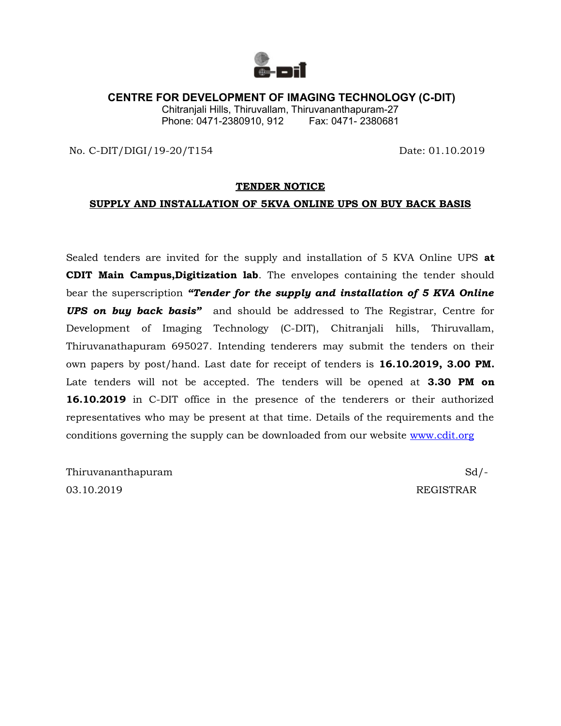

## **CENTRE FOR DEVELOPMENT OF IMAGING TECHNOLOGY (C-DIT)**

Chitranjali Hills, Thiruvallam, Thiruvananthapuram-27 Phone: 0471-2380910, 912 Fax: 0471-2380681

No. C-DIT/DIGI/19-20/T154 Date: 01.10.2019

### **TENDER NOTICE**

### **SUPPLY AND INSTALLATION OF 5KVA ONLINE UPS ON BUY BACK BASIS**

Sealed tenders are invited for the supply and installation of 5 KVA Online UPS **at CDIT Main Campus,Digitization lab**. The envelopes containing the tender should bear the superscription *"Tender for the supply and installation of 5 KVA Online UPS on buy back basis"* and should be addressed to The Registrar, Centre for Development of Imaging Technology (C-DIT), Chitranjali hills, Thiruvallam, Thiruvanathapuram 695027. Intending tenderers may submit the tenders on their own papers by post/hand. Last date for receipt of tenders is **16.10.2019, 3.00 PM.** Late tenders will not be accepted. The tenders will be opened at **3.30 PM on 16.10.2019** in C-DIT office in the presence of the tenderers or their authorized representatives who may be present at that time. Details of the requirements and the conditions governing the supply can be downloaded from our website [www.cdit.org](http://www.cdit.org/)

Thiruvananthapuram Sd/- 03.10.2019 REGISTRAR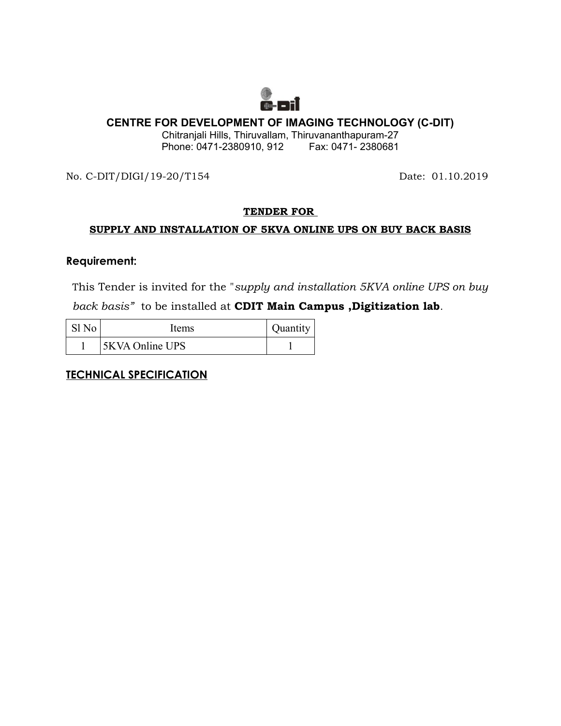

# **CENTRE FOR DEVELOPMENT OF IMAGING TECHNOLOGY (C-DIT)**

Chitranjali Hills, Thiruvallam, Thiruvananthapuram-27 Phone: 0471-2380910, 912 Fax: 0471- 2380681

No. C-DIT/DIGI/19-20/T154 Date: 01.10.2019

# **TENDER FOR**

# **SUPPLY AND INSTALLATION OF 5KVA ONLINE UPS ON BUY BACK BASIS**

## **Requirement:**

This Tender is invited for the "*supply and installation 5KVA online UPS on buy back basis"* to be installed at **CDIT Main Campus ,Digitization lab**.

| Items           | Quantity |
|-----------------|----------|
| 5KVA Online UPS |          |

**TECHNICAL SPECIFICATION**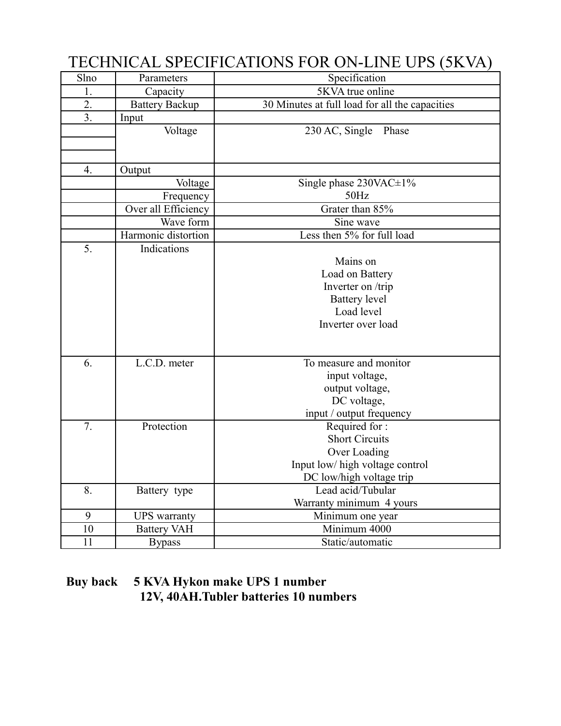| Slno | Parameters            | TECHNOLIE SI ECHNOLIST OK ON EINE CLU (SIX VII)<br>Specification |
|------|-----------------------|------------------------------------------------------------------|
| 1.   | Capacity              | 5KVA true online                                                 |
| 2.   | <b>Battery Backup</b> | 30 Minutes at full load for all the capacities                   |
| 3.   | Input                 |                                                                  |
|      | Voltage               | 230 AC, Single Phase                                             |
|      |                       |                                                                  |
|      |                       |                                                                  |
| 4.   | Output                |                                                                  |
|      | Voltage               | Single phase $230\text{VAC} \pm 1\%$                             |
|      | Frequency             | 50Hz                                                             |
|      | Over all Efficiency   | Grater than 85%                                                  |
|      | Wave form             | Sine wave                                                        |
|      | Harmonic distortion   | Less then 5% for full load                                       |
| 5.   | Indications           |                                                                  |
|      |                       | Mains on                                                         |
|      |                       | Load on Battery                                                  |
|      |                       | Inverter on /trip                                                |
|      |                       | <b>Battery</b> level                                             |
|      |                       | Load level                                                       |
|      |                       | Inverter over load                                               |
|      |                       |                                                                  |
|      |                       |                                                                  |
| 6.   | L.C.D. meter          | To measure and monitor                                           |
|      |                       | input voltage,                                                   |
|      |                       | output voltage,                                                  |
|      |                       | DC voltage,                                                      |
|      |                       | input / output frequency                                         |
| 7.   | Protection            | Required for:                                                    |
|      |                       | <b>Short Circuits</b>                                            |
|      |                       | Over Loading                                                     |
|      |                       | Input low/ high voltage control                                  |
|      |                       | DC low/high voltage trip                                         |
| 8.   | Battery type          | Lead acid/Tubular                                                |
|      |                       | Warranty minimum 4 yours                                         |
| 9    | <b>UPS</b> warranty   | Minimum one year                                                 |
| 10   | <b>Battery VAH</b>    | Minimum 4000                                                     |
| 11   | <b>Bypass</b>         | Static/automatic                                                 |

# TECHNICAL SPECIFICATIONS FOR ON-LINE UPS (5KVA)

# **Buy back 5 KVA Hykon make UPS 1 number 12V, 40AH.Tubler batteries 10 numbers**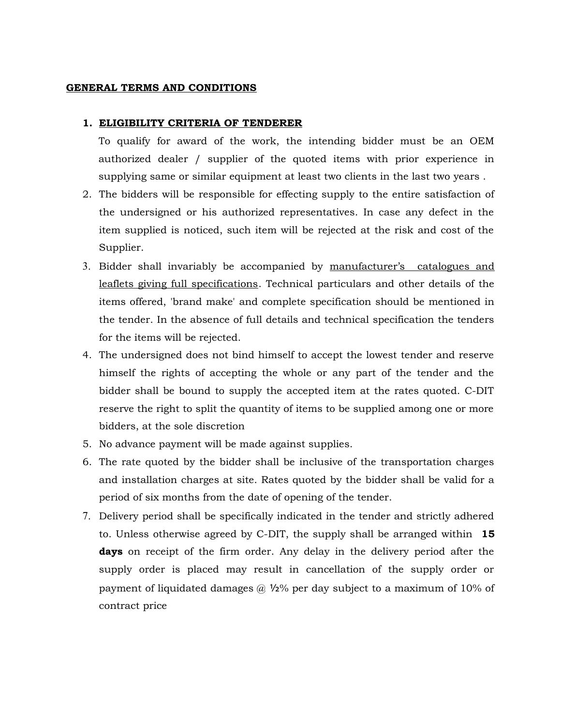### **GENERAL TERMS AND CONDITIONS**

#### **1. ELIGIBILITY CRITERIA OF TENDERER**

To qualify for award of the work, the intending bidder must be an OEM authorized dealer / supplier of the quoted items with prior experience in supplying same or similar equipment at least two clients in the last two years .

- 2. The bidders will be responsible for effecting supply to the entire satisfaction of the undersigned or his authorized representatives. In case any defect in the item supplied is noticed, such item will be rejected at the risk and cost of the Supplier.
- 3. Bidder shall invariably be accompanied by manufacturer's catalogues and leaflets giving full specifications. Technical particulars and other details of the items offered, 'brand make' and complete specification should be mentioned in the tender. In the absence of full details and technical specification the tenders for the items will be rejected.
- 4. The undersigned does not bind himself to accept the lowest tender and reserve himself the rights of accepting the whole or any part of the tender and the bidder shall be bound to supply the accepted item at the rates quoted. C-DIT reserve the right to split the quantity of items to be supplied among one or more bidders, at the sole discretion
- 5. No advance payment will be made against supplies.
- 6. The rate quoted by the bidder shall be inclusive of the transportation charges and installation charges at site. Rates quoted by the bidder shall be valid for a period of six months from the date of opening of the tender.
- 7. Delivery period shall be specifically indicated in the tender and strictly adhered to. Unless otherwise agreed by C-DIT, the supply shall be arranged within **15 days** on receipt of the firm order. Any delay in the delivery period after the supply order is placed may result in cancellation of the supply order or payment of liquidated damages  $\omega$  1/2% per day subject to a maximum of 10% of contract price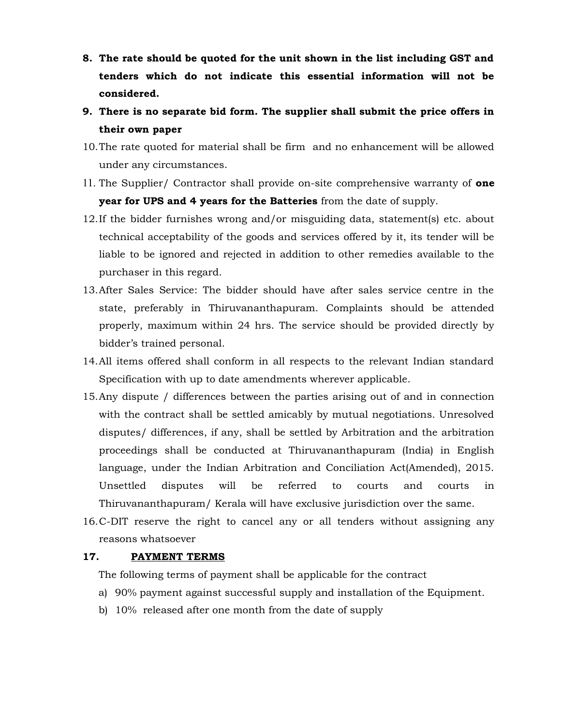- **8. The rate should be quoted for the unit shown in the list including GST and tenders which do not indicate this essential information will not be considered.**
- **9. There is no separate bid form. The supplier shall submit the price offers in their own paper**
- 10.The rate quoted for material shall be firm and no enhancement will be allowed under any circumstances.
- 11. The Supplier/ Contractor shall provide on-site comprehensive warranty of **one year for UPS and 4 years for the Batteries** from the date of supply.
- 12.If the bidder furnishes wrong and/or misguiding data, statement(s) etc. about technical acceptability of the goods and services offered by it, its tender will be liable to be ignored and rejected in addition to other remedies available to the purchaser in this regard.
- 13.After Sales Service: The bidder should have after sales service centre in the state, preferably in Thiruvananthapuram. Complaints should be attended properly, maximum within 24 hrs. The service should be provided directly by bidder's trained personal.
- 14.All items offered shall conform in all respects to the relevant Indian standard Specification with up to date amendments wherever applicable.
- 15.Any dispute / differences between the parties arising out of and in connection with the contract shall be settled amicably by mutual negotiations. Unresolved disputes/ differences, if any, shall be settled by Arbitration and the arbitration proceedings shall be conducted at Thiruvananthapuram (India) in English language, under the Indian Arbitration and Conciliation Act(Amended), 2015. Unsettled disputes will be referred to courts and courts in Thiruvananthapuram/ Kerala will have exclusive jurisdiction over the same.
- 16.C-DIT reserve the right to cancel any or all tenders without assigning any reasons whatsoever

### **17. PAYMENT TERMS**

The following terms of payment shall be applicable for the contract

- a) 90% payment against successful supply and installation of the Equipment.
- b) 10% released after one month from the date of supply